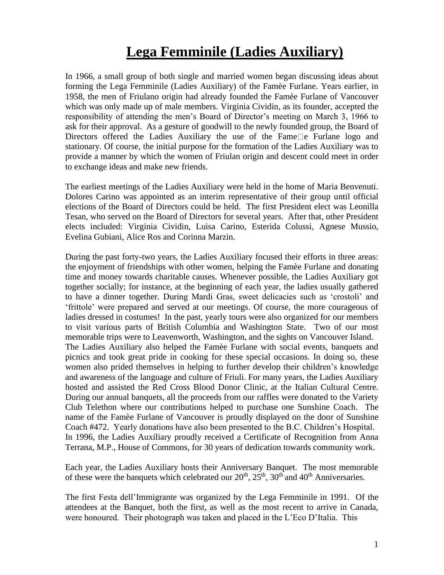## **Lega Femminile (Ladies Auxiliary)**

In 1966, a small group of both single and married women began discussing ideas about forming the Lega Femminile (Ladies Auxiliary) of the Famèe Furlane. Years earlier, in 1958, the men of Friulano origin had already founded the Famèe Furlane of Vancouver which was only made up of male members. Virginia Cividin, as its founder, accepted the responsibility of attending the men's Board of Director's meeting on March 3, 1966 to ask for their approval. As a gesture of goodwill to the newly founded group, the Board of Directors offered the Ladies Auxiliary the use of the Fame  $\Box$  e Furlane logo and stationary. Of course, the initial purpose for the formation of the Ladies Auxiliary was to provide a manner by which the women of Friulan origin and descent could meet in order to exchange ideas and make new friends.

The earliest meetings of the Ladies Auxiliary were held in the home of Maria Benvenuti. Dolores Carino was appointed as an interim representative of their group until official elections of the Board of Directors could be held. The first President elect was Leonilla Tesan, who served on the Board of Directors for several years. After that, other President elects included: Virginia Cividin, Luisa Carino, Esterida Colussi, Agnese Mussio, Evelina Gubiani, Alice Ros and Corinna Marzin.

During the past forty-two years, the Ladies Auxiliary focused their efforts in three areas: the enjoyment of friendships with other women, helping the Famèe Furlane and donating time and money towards charitable causes. Whenever possible, the Ladies Auxiliary got together socially; for instance, at the beginning of each year, the ladies usually gathered to have a dinner together. During Mardi Gras, sweet delicacies such as 'crostoli' and 'frittole' were prepared and served at our meetings. Of course, the more courageous of ladies dressed in costumes! In the past, yearly tours were also organized for our members to visit various parts of British Columbia and Washington State. Two of our most memorable trips were to Leavenworth, Washington, and the sights on Vancouver Island. The Ladies Auxiliary also helped the Famèe Furlane with social events, banquets and picnics and took great pride in cooking for these special occasions. In doing so, these women also prided themselves in helping to further develop their children's knowledge and awareness of the language and culture of Friuli. For many years, the Ladies Auxiliary hosted and assisted the Red Cross Blood Donor Clinic, at the Italian Cultural Centre. During our annual banquets, all the proceeds from our raffles were donated to the Variety Club Telethon where our contributions helped to purchase one Sunshine Coach. The name of the Famèe Furlane of Vancouver is proudly displayed on the door of Sunshine Coach #472. Yearly donations have also been presented to the B.C. Children's Hospital. In 1996, the Ladies Auxiliary proudly received a Certificate of Recognition from Anna Terrana, M.P., House of Commons, for 30 years of dedication towards community work.

Each year, the Ladies Auxiliary hosts their Anniversary Banquet. The most memorable of these were the banquets which celebrated our  $20<sup>th</sup>$ ,  $25<sup>th</sup>$ ,  $30<sup>th</sup>$  and  $40<sup>th</sup>$  Anniversaries.

The first Festa dell'Immigrante was organized by the Lega Femminile in 1991. Of the attendees at the Banquet, both the first, as well as the most recent to arrive in Canada, were honoured. Their photograph was taken and placed in the L'Eco D'Italia. This